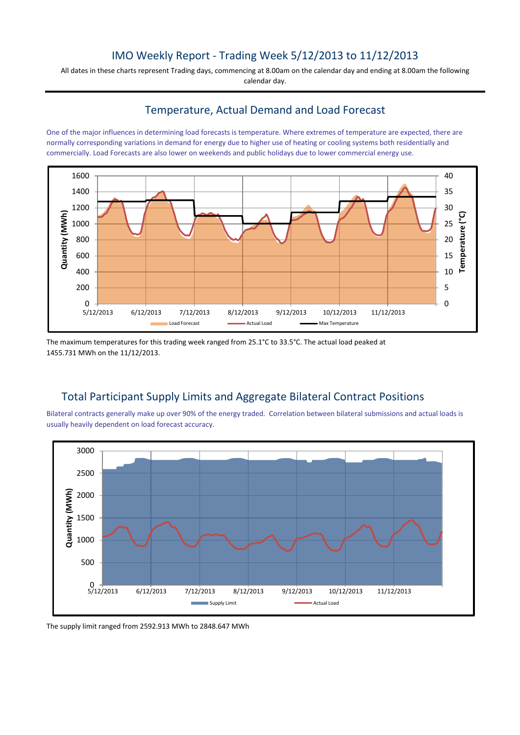# IMO Weekly Report - Trading Week 5/12/2013 to 11/12/2013

All dates in these charts represent Trading days, commencing at 8.00am on the calendar day and ending at 8.00am the following calendar day.

# Temperature, Actual Demand and Load Forecast

One of the major influences in determining load forecasts is temperature. Where extremes of temperature are expected, there are normally corresponding variations in demand for energy due to higher use of heating or cooling systems both residentially and commercially. Load Forecasts are also lower on weekends and public holidays due to lower commercial energy use.



The maximum temperatures for this trading week ranged from 25.1°C to 33.5°C. The actual load peaked at 1455.731 MWh on the 11/12/2013.

# Total Participant Supply Limits and Aggregate Bilateral Contract Positions

Bilateral contracts generally make up over 90% of the energy traded. Correlation between bilateral submissions and actual loads is usually heavily dependent on load forecast accuracy.



The supply limit ranged from 2592.913 MWh to 2848.647 MWh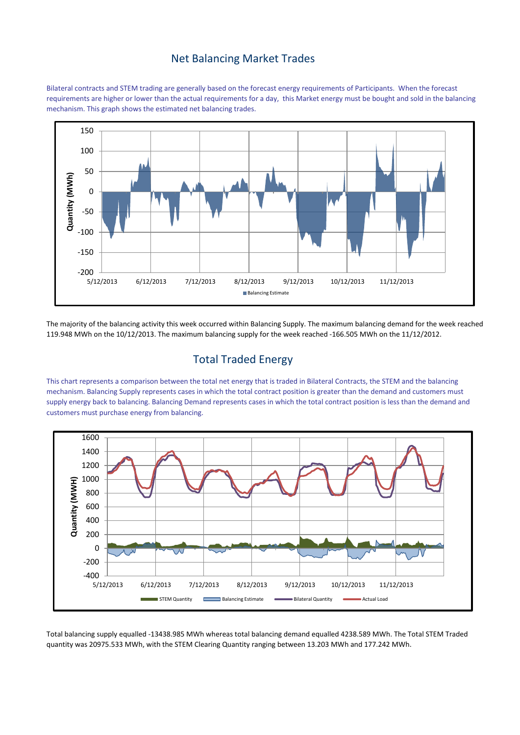#### Net Balancing Market Trades

Bilateral contracts and STEM trading are generally based on the forecast energy requirements of Participants. When the forecast requirements are higher or lower than the actual requirements for a day, this Market energy must be bought and sold in the balancing mechanism. This graph shows the estimated net balancing trades.



The majority of the balancing activity this week occurred within Balancing Supply. The maximum balancing demand for the week reached 119.948 MWh on the 10/12/2013. The maximum balancing supply for the week reached -166.505 MWh on the 11/12/2012.

# Total Traded Energy

This chart represents a comparison between the total net energy that is traded in Bilateral Contracts, the STEM and the balancing mechanism. Balancing Supply represents cases in which the total contract position is greater than the demand and customers must supply energy back to balancing. Balancing Demand represents cases in which the total contract position is less than the demand and customers must purchase energy from balancing.



Total balancing supply equalled -13438.985 MWh whereas total balancing demand equalled 4238.589 MWh. The Total STEM Traded quantity was 20975.533 MWh, with the STEM Clearing Quantity ranging between 13.203 MWh and 177.242 MWh.